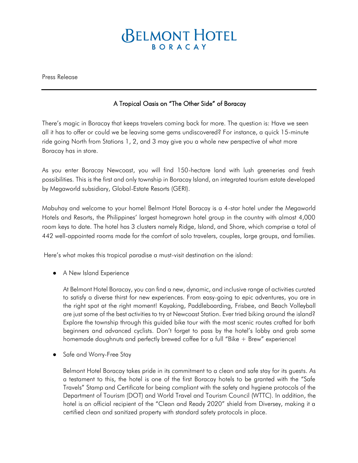## **BELMONT HOTEL** BORACAY

Press Release

## A Tropical Oasis on "The Other Side" of Boracay

There's magic in Boracay that keeps travelers coming back for more. The question is: Have we seen all it has to offer or could we be leaving some gems undiscovered? For instance, a quick 15-minute ride going North from Stations 1, 2, and 3 may give you a whole new perspective of what more Boracay has in store.

As you enter Boracay Newcoast, you will find 150-hectare land with lush greeneries and fresh possibilities. This is the first and only township in Boracay Island, an integrated tourism estate developed by Megaworld subsidiary, Global-Estate Resorts (GERI).

Mabuhay and welcome to your home! Belmont Hotel Boracay is a 4-star hotel under the Megaworld Hotels and Resorts, the Philippines' largest homegrown hotel group in the country with almost 4,000 room keys to date. The hotel has 3 clusters namely Ridge, Island, and Shore, which comprise a total of 442 well-appointed rooms made for the comfort of solo travelers, couples, large groups, and families.

Here's what makes this tropical paradise a must-visit destination on the island:

A New Island Experience

At Belmont Hotel Boracay, you can find a new, dynamic, and inclusive range of activities curated to satisfy a diverse thirst for new experiences. From easy-going to epic adventures, you are in the right spot at the right moment! Kayaking, Paddleboarding, Frisbee, and Beach Volleyball are just some of the best activities to try at Newcoast Station. Ever tried biking around the island? Explore the township through this guided bike tour with the most scenic routes crafted for both beginners and advanced cyclists. Don't forget to pass by the hotel's lobby and grab some homemade doughnuts and perfectly brewed coffee for a full "Bike + Brew" experience!

● Safe and Worry-Free Stay

Belmont Hotel Boracay takes pride in its commitment to a clean and safe stay for its guests. As a testament to this, the hotel is one of the first Boracay hotels to be granted with the "Safe Travels" Stamp and Certificate for being compliant with the safety and hygiene protocols of the Department of Tourism (DOT) and World Travel and Tourism Council (WTTC). In addition, the hotel is an official recipient of the "Clean and Ready 2020" shield from Diversey, making it a certified clean and sanitized property with standard safety protocols in place.